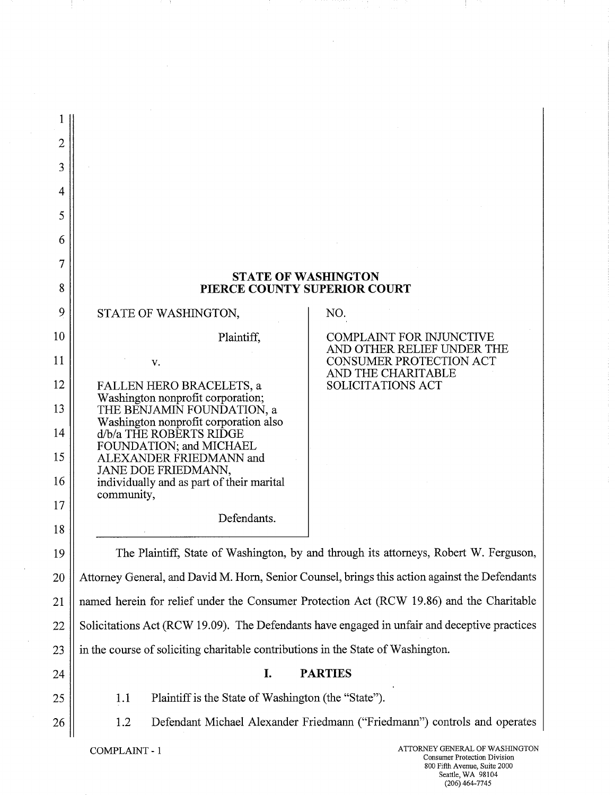| $\overline{2}$                                                                         |                                                                                                                                                                                            |                                                                           |  |  |
|----------------------------------------------------------------------------------------|--------------------------------------------------------------------------------------------------------------------------------------------------------------------------------------------|---------------------------------------------------------------------------|--|--|
| 3                                                                                      |                                                                                                                                                                                            |                                                                           |  |  |
| 4                                                                                      |                                                                                                                                                                                            |                                                                           |  |  |
| 5                                                                                      |                                                                                                                                                                                            |                                                                           |  |  |
| 6                                                                                      |                                                                                                                                                                                            |                                                                           |  |  |
| 7                                                                                      |                                                                                                                                                                                            |                                                                           |  |  |
| 8                                                                                      | <b>STATE OF WASHINGTON</b><br>PIERCE COUNTY SUPERIOR COURT                                                                                                                                 |                                                                           |  |  |
| 9                                                                                      | STATE OF WASHINGTON,                                                                                                                                                                       | NO.                                                                       |  |  |
| 10                                                                                     | Plaintiff,                                                                                                                                                                                 | <b>COMPLAINT FOR INJUNCTIVE</b>                                           |  |  |
| 11                                                                                     | V.                                                                                                                                                                                         | AND OTHER RELIEF UNDER THE<br>CONSUMER PROTECTION ACT                     |  |  |
| 12                                                                                     | FALLEN HERO BRACELETS, a                                                                                                                                                                   | AND THE CHARITABLE<br><b>SOLICITATIONS ACT</b>                            |  |  |
| 13                                                                                     | Washington nonprofit corporation;<br>THE BENJAMIN FOUNDATION, a                                                                                                                            |                                                                           |  |  |
| 14                                                                                     | Washington nonprofit corporation also<br>d/b/a THE ROBERTS RIDGE<br>FOUNDATION; and MICHAEL<br>ALEXANDER FRIEDMANN and<br>JANE DOE FRIEDMANN,<br>individually and as part of their marital |                                                                           |  |  |
| 15                                                                                     |                                                                                                                                                                                            |                                                                           |  |  |
| 16                                                                                     |                                                                                                                                                                                            |                                                                           |  |  |
| 17                                                                                     | community,                                                                                                                                                                                 |                                                                           |  |  |
| 18                                                                                     | Defendants.                                                                                                                                                                                |                                                                           |  |  |
| 19                                                                                     | The Plaintiff, State of Washington, by and through its attorneys, Robert W. Ferguson,                                                                                                      |                                                                           |  |  |
| 20                                                                                     | Attorney General, and David M. Horn, Senior Counsel, brings this action against the Defendants                                                                                             |                                                                           |  |  |
| 21                                                                                     | named herein for relief under the Consumer Protection Act (RCW 19.86) and the Charitable                                                                                                   |                                                                           |  |  |
| 22                                                                                     | Solicitations Act (RCW 19.09). The Defendants have engaged in unfair and deceptive practices                                                                                               |                                                                           |  |  |
| 23                                                                                     | in the course of soliciting charitable contributions in the State of Washington.                                                                                                           |                                                                           |  |  |
| 24                                                                                     | I.                                                                                                                                                                                         | <b>PARTIES</b>                                                            |  |  |
| 25                                                                                     | Plaintiff is the State of Washington (the "State").<br>1.1                                                                                                                                 |                                                                           |  |  |
| 26                                                                                     | 1.2                                                                                                                                                                                        | Defendant Michael Alexander Friedmann ("Friedmann") controls and operates |  |  |
| ATTORNEY GENERAL OF WASHINGTON<br>COMPLAINT - 1<br><b>Consumer Protection Division</b> |                                                                                                                                                                                            |                                                                           |  |  |

 $\bar{\psi}$ 

÷

 $\frac{1}{4}$ 

 $\begin{aligned} \frac{1}{2} \left( \frac{1}{2} \right) \left( \frac{1}{2} \right) \left( \frac{1}{2} \right) \left( \frac{1}{2} \right) \left( \frac{1}{2} \right) \left( \frac{1}{2} \right) \left( \frac{1}{2} \right) \left( \frac{1}{2} \right) \left( \frac{1}{2} \right) \left( \frac{1}{2} \right) \left( \frac{1}{2} \right) \left( \frac{1}{2} \right) \left( \frac{1}{2} \right) \left( \frac{1}{2} \right) \left( \frac{1}{2} \right) \left( \frac{1}{2} \right)$ 

Ť

 $\sim$ 

 $\mathcal{A}$ 

- 11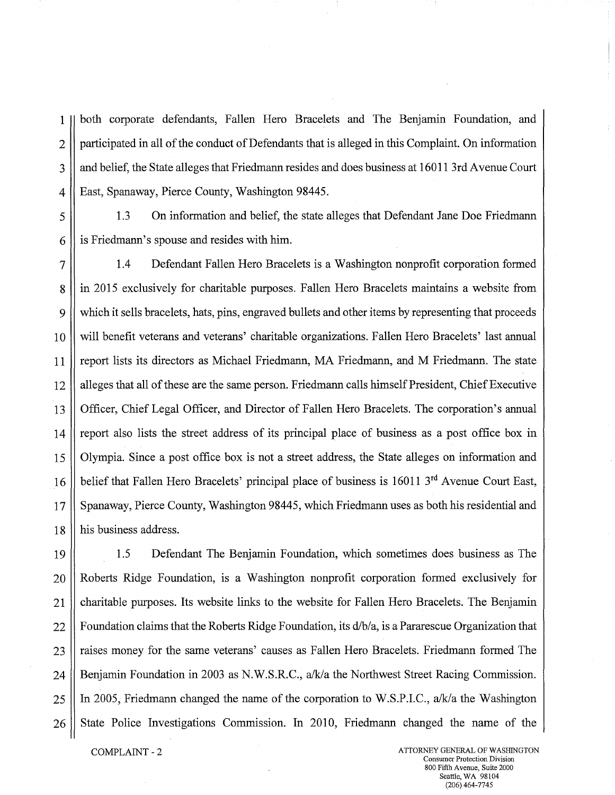1 both corporate defendants, Fallen Hero Bracelets and The Benjamin Foundation, and 2 | participated in all of the conduct of Defendants that is alleged in this Complaint. On information 3 || and belief, the State alleges that Friedmann resides and does business at 16011 3rd Avenue Court 4 || East, Spanaway, Pierce County, Washington 98445.

5 1.3 On information and belief, the state alleges that Defendant Jane Doe Friedmann  $6 \parallel$  is Friedmann's spouse and resides with him.

7 1.4 Defendant Fallen Hero Bracelets is a Washington nonprofit corporation formed 8 in 2015 exclusively for charitable purposes. Fallen Hero Bracelets maintains a website from 9 which it sells bracelets, hats, pins, engraved bullets and other items by representing that proceeds 10 will benefit veterans and veterans' charitable organizations. Fallen Hero Bracelets' last annual 11 | report lists its directors as Michael Friedmann, MA Friedmann, and M Friedmann. The state 12 alleges that all of these are the same person. Friedmann calls himself President, Chief Executive 13 Officer, Chief Legal Officer, and Director of Fallen Hero Bracelets. The corporation's annual 14 || report also lists the street address of its principal place of business as a post office box in 15 Olympia. Since a post office box is not a street address, the State alleges on information and 16 belief that Fallen Hero Bracelets' principal place of business is 16011  $3<sup>rd</sup>$  Avenue Court East, 17 Spanaway, Pierce County, Washington 98445, which Friedmann uses as both his residential and 18 || his business address.

19 1.5 Defendant The Benjamin Foundation, which sometimes does business as The 20 Roberts Ridge Foundation, is a Washington nonprofit corporation formed exclusively for 21 charitable purposes. Its website links to the website for Fallen Hero Bracelets. The Benjamin 22 Foundation claims that the Roberts Ridge Foundation, its d/b/a, is a Pararescue Organization that 23 || raises money for the same veterans' causes as Fallen Hero Bracelets. Friedmann formed The 24 | Benjamin Foundation in 2003 as N.W.S.R.C., a/k/a the Northwest Street Racing Commission. 25 || In 2005, Friedmann changed the name of the corporation to W.S.P.I.C., a/k/a the Washington 26 State Police Investigations Commission. In 2010, Friedmann changed the name of the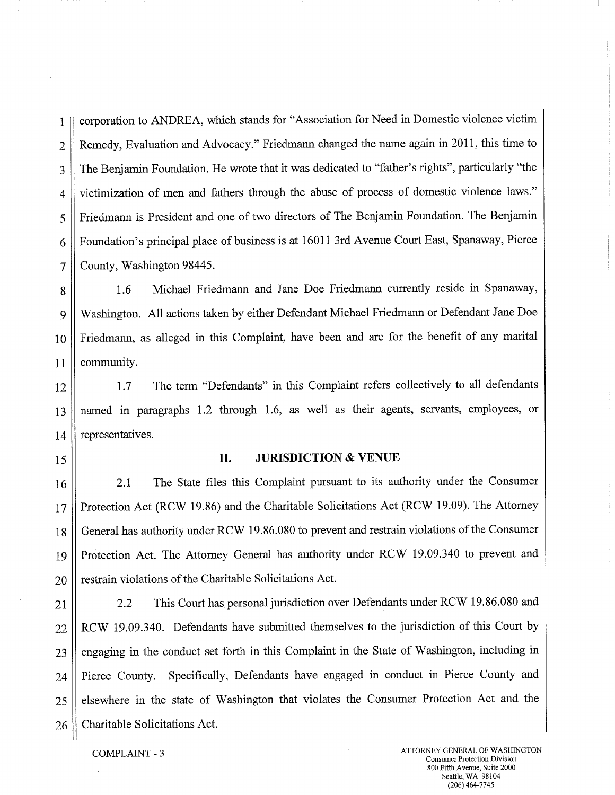1 corporation to ANDREA, which stands for "Association for Need in Domestic violence victim 2 | Remedy, Evaluation and Advocacy." Friedmann changed the name again in 2011, this time to 3 | The Benjamin Foundation. He wrote that it was dedicated to "father's rights", particularly "the 4 victimization of men and fathers through the abuse of process of domestic violence laws." 5 | Friedmann is President and one of two directors of The Benjamin Foundation. The Benjamin 6 | Foundation's principal place of business is at 16011 3rd Avenue Court East, Spanaway, Pierce 7 | County, Washington 98445.

8 | 1.6 Michael Friedmann and Jane Doe Friedmann currently reside in Spanaway, 9 Washington. All actions taken by either Defendant Michael Friedmann or Defendant Jane Doe 10 Friedmann, as alleged in this Complaint, have been and are for the benefit of any marital 11 | community.

12 1.7 The term "Defendants" in this Complaint refers collectively to all defendants 13 named in paragraphs 1.2 through 1.6, as well as their agents, servants, employees, or  $14$  | representatives.

# 15 **IL JURISDICTION** & **VENUE**

16 2.1 The State files this Complaint pursuant to its authority under the Consumer 17 || Protection Act (RCW 19.86) and the Charitable Solicitations Act (RCW 19.09). The Attorney 18 | General has authority under RCW 19.86.080 to prevent and restrain violations of the Consumer 19 Protection Act. The Attorney General has authority under RCW 19.09.340 to prevent and  $20$  | restrain violations of the Charitable Solicitations Act.

21 2.2 This Court has personal jurisdiction over Defendants under RCW 19.86.080 and 22 || RCW 19.09.340. Defendants have submitted themselves to the jurisdiction of this Court by  $23$  engaging in the conduct set forth in this Complaint in the State of Washington, including in 24 | Pierce County. Specifically, Defendants have engaged in conduct in Pierce County and 25 elsewhere in the state of Washington that violates the Consumer Protection Act and the 26 Charitable Solicitations Act.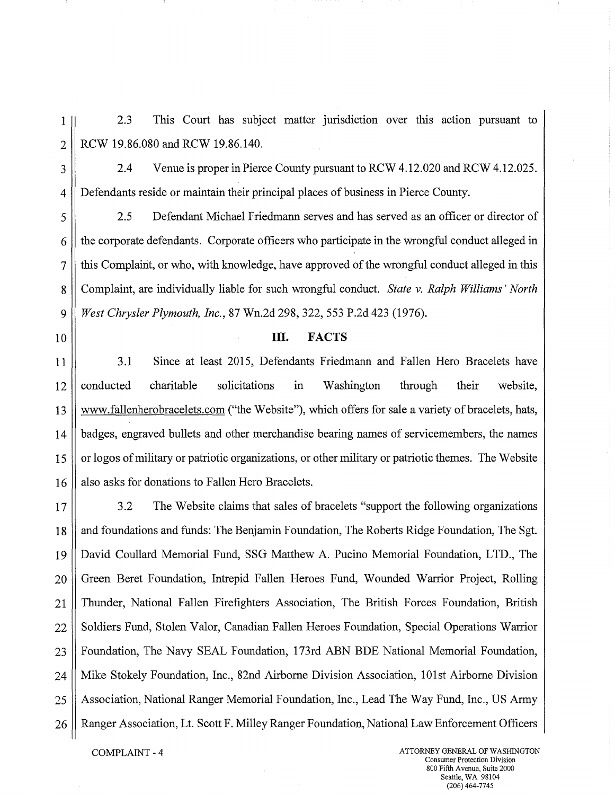2.3 This Court has subject matter jurisdiction over this action pursuant to  $1\vert$ RCW 19.86.080 and RCW 19.86.140.  $\overline{2}$ 

2.4 Venue is proper in Pierce County pursuant to RCW 4.12.020 and RCW 4.12.025. 3  $\overline{4}$ Defendants reside or maintain their principal places of business in Pierce County.

2.5 Defendant Michael Friedmann serves and has served as an officer or director of 5 the corporate defendants. Corporate officers who participate in the wrongful conduct alleged in 6  $\overline{7}$ this Complaint, or who, with knowledge, have approved of the wrongful conduct alleged in this Complaint, are individually liable for such wrongful conduct. *State v. Ralph Williams' North*  8 a *West Chrysler Plymouth, Inc.,* 87 Wn.2d 298, 322, 553 P.2d 423 (1976).

# 10 **III. FACTS**

11 3.1 Since at least 2015, Defendants Friedmann and Fallen Hero Bracelets have  $12$  conducted charitable solicitations in Washington through their website, 13 www.fallenherobracelets.com("the Website"), which offers for sale a variety of bracelets, hats, 14 badges, engraved bullets and other merchandise bearing names of servicemembers, the names 15 || or logos of military or patriotic organizations, or other military or patriotic themes. The Website 16 || also asks for donations to Fallen Hero Bracelets.

17  $\parallel$  3.2 The Website claims that sales of bracelets "support the following organizations 18 || and foundations and funds: The Benjamin Foundation, The Roberts Ridge Foundation, The Sgt. 19 David Coullard Memorial Fund, SSG Matthew A. Pucino Memorial Foundation, LTD., The 20 Green Beret Foundation, Intrepid Fallen Heroes Fund, Wounded Warrior Project, Rolling 21 Thunder, National Fallen Firefighters Association, The British Forces Foundation, British 22 Soldiers Fund, Stolen Valor, Canadian Fallen Heroes Foundation, Special Operations Warrior 23 || Foundation, The Navy SEAL Foundation, 173rd ABN BDE National Memorial Foundation, 24 Mike Stokely Foundation, Inc., 82nd Airborne Division Association, 101st Airborne Division 25 || Association, National Ranger Memorial Foundation, Inc., Lead The Way Fund, Inc., US Army 26 | Ranger Association, Lt. Scott F. Milley Ranger Foundation, National Law Enforcement Officers

COMPLAINT - 4 ATTORNEY GENERAL OF WASHINGTON Consumer Protection Division 800 Fifth Avenue, Suite 2000 Seattle, WA 98104 (206)464-7745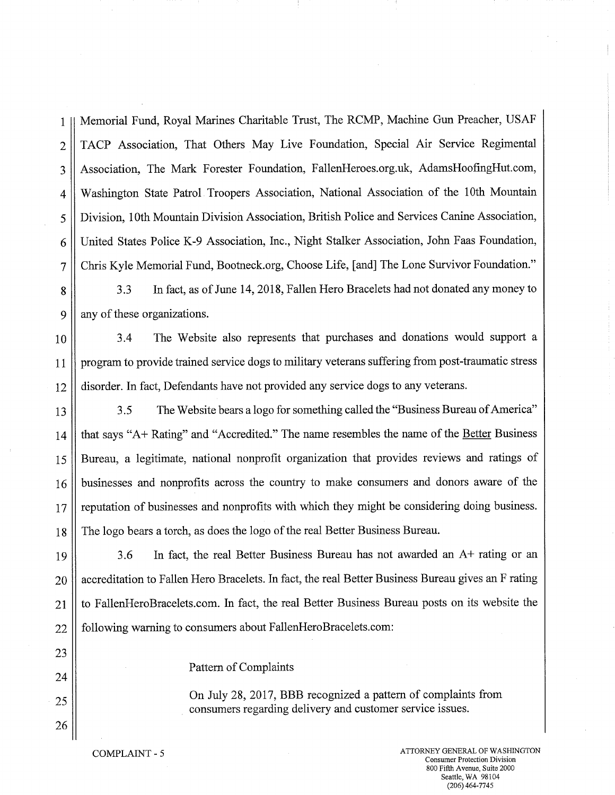Memorial Fund, Royal Marines Charitable Trust, The RCMP, Machine Gun Preacher, USAF TACP Association, That Others May Live Foundation, Special Air Service Regimental Association, The Mark Forester Foundation, FallenHeroes.org.uk, AdamsHoofingHut.com, Washington State Patrol Troopers Association, National Association of the 10th Mountain Division, 10th Mountain Division Association, British Police and Services Canine Association, United States Police K-9 Association, Inc., Night Stalker Association, John Faas Foundation, Chris Kyle Memorial Fund, Bootneck.org, Choose Life, [and] The Lone Survivor Foundation." 1 2 3 4 5 61 7

3.3 In fact, as of June 14, 2018, Fallen Hero Bracelets had not donated any money to any of these organizations. 8 9''

3.4 The Website also represents that purchases and donations would support a program to provide trained service dogs to military veterans suffering from post-traumatic stress disorder. In fact, Defendants have not provided any service dogs to any veterans. 10 11 12

3.5 The Website bears a logo for something called the "Business Bureau of America" that says "A+ Rating" and "Accredited." The name resembles the name of the Better Business Bureau, a legitimate, national nonprofit organization that provides reviews and ratings of businesses and nonprofits across the country to make consumers and donors aware of the reputation of businesses and nonprofits with which they might be considering doing business. The logo bears a torch, as does the logo of the real Better Business Bureau. 13 14 15 16 17 18

3.6 In fact, the real Better Business Bureau has not awarded an A+ rating or an accreditation to Fallen Hero Bracelets. In fact, the real Better Business Bureau gives an F rating to FallenHeroBracelets.com. In fact, the real Better Business Bureau posts on its website the following warning to consumers about FallenHeroBracelets.com: 19 20 21 22

Pattern of Complaints

On July 28, 2017, BBB recognized a pattern of complaints from consumers regarding delivery and customer service issues.

23

24

25

26

COMPLAINT - 5 ATTORNEY GENERAL OF WASHINGTON Consumer Protection Division 800 Fifth Avenue, Suite 2000 Seattle, WA 98104 (206) 464-7745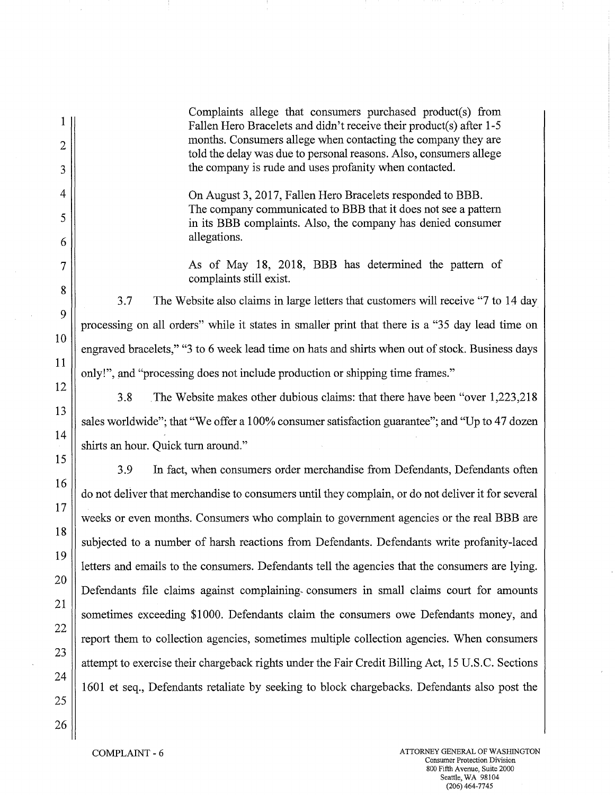Complaints allege that consumers purchased product(s) from Fallen Hero Bracelets and didn't receive their product(s) after 1-5 months. Consumers allege when contacting the company they are told the delay was due to personal reasons. Also, consumers allege the company is rude and uses profanity when contacted.

On August 3, 2017, Fallen Hero Bracelets responded to BBB. The company communicated to BBB that it does not see a pattern in its BBB complaints. Also, the company has denied consumer allegations.

As of May 18, 2018, BBB has determined the pattern of complaints still exist.

3.7 The Website also claims in large letters that customers will receive "7 to 14 day processing on all orders" while it states in smaller print that there is a "35 day lead time on engraved bracelets," "3 to 6 week lead time on hats and shirts when out of stock. Business days only!", and "processing does not include production or shipping time frames."

3.8 The Website makes other dubious claims: that there have been "over 1,223,218 sales worldwide"; that "We offer a 100% consumer satisfaction guarantee"; and "Up to 47 dozen shirts an hour. Quick turn around."

3.9 In fact, when consumers order merchandise from Defendants, Defendants often do not deliver that merchandise to consumers until they complain, or do not deliver it for several weeks or even months. Consumers who complain to government agencies or the real BBB are subjected to a number of harsh reactions from Defendants. Defendants write profanity-laced letters and emails to the consumers. Defendants tell the agencies that the consumers are lying. Defendants file claims against complaining- consumers in small claims court for amounts sometimes exceeding \$1000. Defendants claim the consumers owe Defendants money, and report them to collection agencies, sometimes multiple collection agencies. When consumers attempt to exercise their chargeback rights under the Fair Credit Billing Act, 15 U.S.C. Sections 1601 et seq., Defendants retaliate by seeking to block chargebacks. Defendants also post the

1

COMPLAINT - 6 ATTORNEY GENERAL OF WASHINGTON Consumer Protection Division 800 Fifth Avenue, Suite 2000 Seattle, WA 98104 (206) 464-7745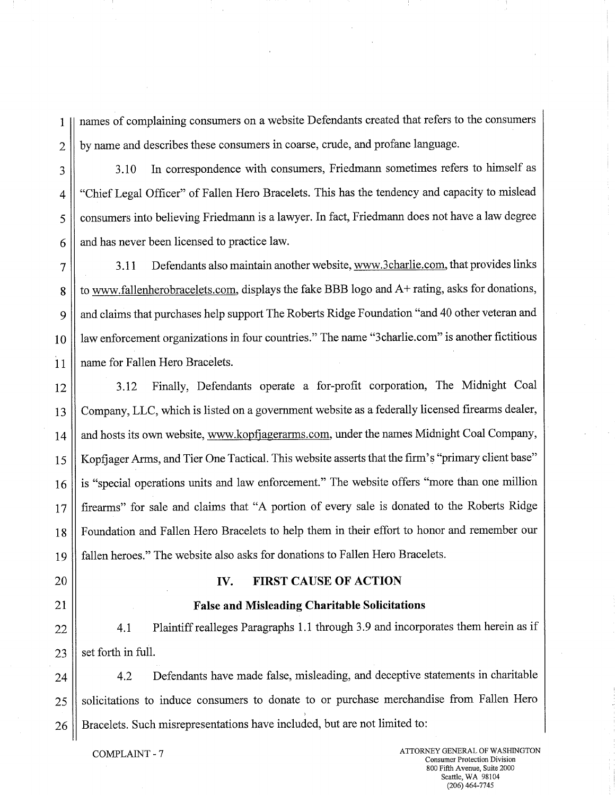1 names of complaining consumers on a website Defendants created that refers to the consumers 2 by name and describes these consumers in coarse, crude, and profane language.

3 3.10 In correspondence with consumers, Friedmann sometimes refers to himself as 4 || "Chief Legal Officer" of Fallen Hero Bracelets. This has the tendency and capacity to mislead 5 consumers into believing Friedmann is a lawyer. In fact, Friedmann does not have a law degree  $6 \parallel$  and has never been licensed to practice law.

7 3.11 Defendants also maintain another website, www.3charlie.com, that provides links 8 | to www.fallenherobracelets.com, displays the fake BBB logo and A+ rating, asks for donations, 9 | and claims that purchases help support The Roberts Ridge Foundation "and 40 other veteran and 10 || law enforcement organizations in four countries." The name "3charlie.com" is another fictitious 11 name for Fallen Hero Bracelets.

12 3.12 Finally, Defendants operate a for-profit corporation, The Midnight Coal 13 Company, LLC, which is listed on a government website as a federally licensed firearms dealer, 14 and hosts its own website, www.kopfjagerarms.com, under the names Midnight Coal Company, 15 Kopfjager Arms, and Tier One Tactical. This website asserts that the firm's "primary client base" 16 is "special operations units and law enforcement." The website offers "more than one million 17 firearms" for sale and claims that "A portion of every sale is donated to the Roberts Ridge 18 Foundation and Fallen Hero Bracelets to help them in their effort to honor and remember our 19 fallen heroes." The website also asks for donations to Fallen Hero Bracelets.

- 20 **IV. FIRST CAUSE OF ACTION**
- 21 **False and Misleading Charitable Solicitations**

22 | 4.1 Plaintiff realleges Paragraphs 1.1 through 3.9 and incorporates them herein as if  $23$  | set forth in full.

24 | 4.2 Defendants have made false, misleading, and deceptive statements in charitable 25 | solicitations to induce consumers to donate to or purchase merchandise from Fallen Hero 26 **Bracelets.** Such misrepresentations have included, but are not limited to: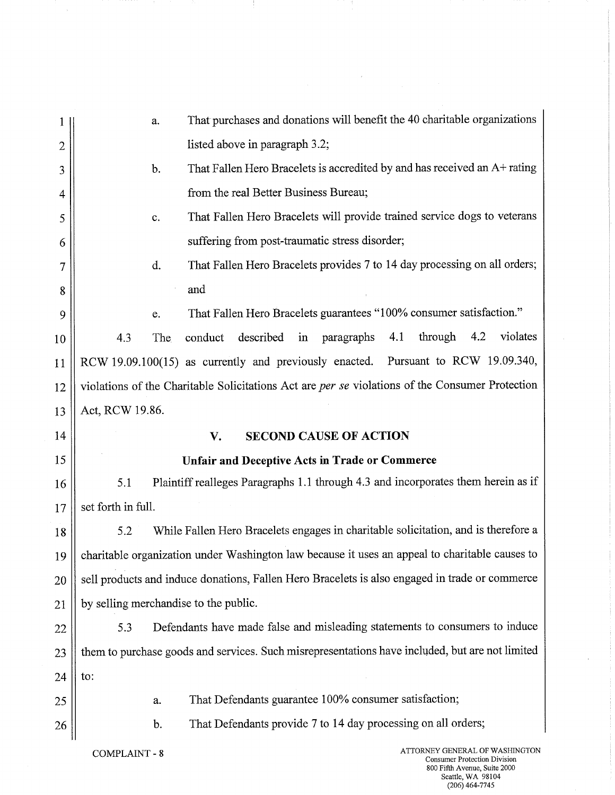| 1            | a.                                                                                              | That purchases and donations will benefit the 40 charitable organizations                       |  |
|--------------|-------------------------------------------------------------------------------------------------|-------------------------------------------------------------------------------------------------|--|
| $\mathbf{2}$ |                                                                                                 | listed above in paragraph 3.2;                                                                  |  |
| 3            | That Fallen Hero Bracelets is accredited by and has received an A+ rating<br>b.                 |                                                                                                 |  |
| 4            | from the real Better Business Bureau;                                                           |                                                                                                 |  |
| 5            | That Fallen Hero Bracelets will provide trained service dogs to veterans<br>$\mathbf{c}$ .      |                                                                                                 |  |
| 6            | suffering from post-traumatic stress disorder;                                                  |                                                                                                 |  |
| 7            | d.                                                                                              | That Fallen Hero Bracelets provides 7 to 14 day processing on all orders;                       |  |
| 8            |                                                                                                 | and                                                                                             |  |
| 9            | e.                                                                                              | That Fallen Hero Bracelets guarantees "100% consumer satisfaction."                             |  |
| 10           | 4.3<br>The                                                                                      | violates<br>described<br>through<br>4.2<br>conduct<br>in<br>paragraphs<br>4.1                   |  |
| 11           |                                                                                                 | RCW 19.09.100(15) as currently and previously enacted. Pursuant to RCW 19.09.340,               |  |
| 12           | violations of the Charitable Solicitations Act are per se violations of the Consumer Protection |                                                                                                 |  |
| 13           | Act, RCW 19.86.                                                                                 |                                                                                                 |  |
| 14           |                                                                                                 | <b>SECOND CAUSE OF ACTION</b><br>V.                                                             |  |
| 15           | <b>Unfair and Deceptive Acts in Trade or Commerce</b>                                           |                                                                                                 |  |
|              |                                                                                                 |                                                                                                 |  |
| 16           | 5.1                                                                                             | Plaintiff realleges Paragraphs 1.1 through 4.3 and incorporates them herein as if               |  |
| 17           | set forth in full.                                                                              |                                                                                                 |  |
| 18           | 5.2                                                                                             | While Fallen Hero Bracelets engages in charitable solicitation, and is therefore a              |  |
| 19           |                                                                                                 | charitable organization under Washington law because it uses an appeal to charitable causes to  |  |
| 20           |                                                                                                 | sell products and induce donations, Fallen Hero Bracelets is also engaged in trade or commerce  |  |
| 21           | by selling merchandise to the public.                                                           |                                                                                                 |  |
| 22           | 5.3                                                                                             | Defendants have made false and misleading statements to consumers to induce                     |  |
| 23           |                                                                                                 | them to purchase goods and services. Such misrepresentations have included, but are not limited |  |
| 24           | to:                                                                                             |                                                                                                 |  |
| 25           | a.                                                                                              | That Defendants guarantee 100% consumer satisfaction;                                           |  |
| 26           | b.                                                                                              | That Defendants provide 7 to 14 day processing on all orders;                                   |  |

 $\sim$ 

Consumer Protection Division 800 Fifth Avenue, Suite 2000 Seattle, WA 98104 (206)464-7745

 $\ddot{\phantom{0}}$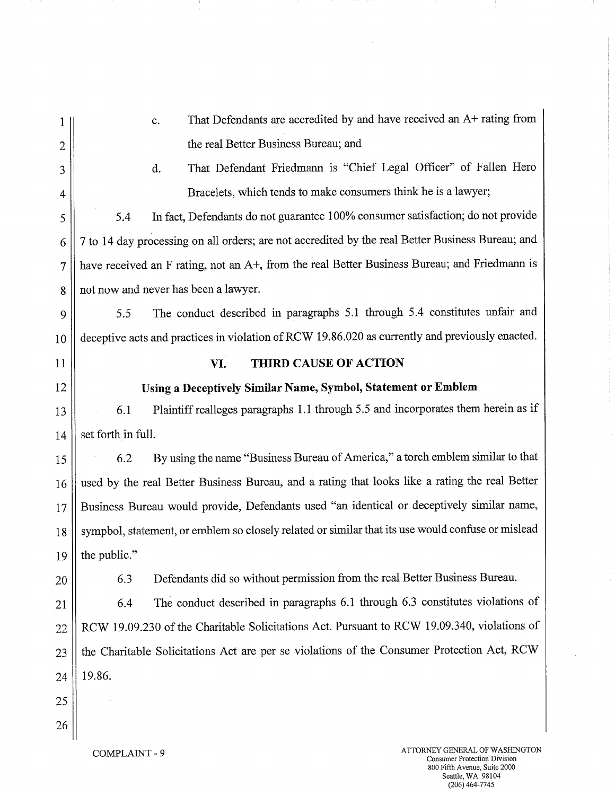|                | That Defendants are accredited by and have received an A+ rating from<br>c.                       |  |  |
|----------------|---------------------------------------------------------------------------------------------------|--|--|
| $\overline{2}$ | the real Better Business Bureau; and                                                              |  |  |
| 3              | That Defendant Friedmann is "Chief Legal Officer" of Fallen Hero<br>d.                            |  |  |
| 4              | Bracelets, which tends to make consumers think he is a lawyer;                                    |  |  |
| 5              | In fact, Defendants do not guarantee 100% consumer satisfaction; do not provide<br>5.4            |  |  |
| 6              | 7 to 14 day processing on all orders; are not accredited by the real Better Business Bureau; and  |  |  |
|                | have received an F rating, not an A+, from the real Better Business Bureau; and Friedmann is      |  |  |
| 8              | not now and never has been a lawyer.                                                              |  |  |
| 9              | The conduct described in paragraphs 5.1 through 5.4 constitutes unfair and<br>5.5                 |  |  |
| 10             | deceptive acts and practices in violation of RCW 19.86.020 as currently and previously enacted.   |  |  |
| 11             | <b>THIRD CAUSE OF ACTION</b><br>VI.                                                               |  |  |
| 12             | Using a Deceptively Similar Name, Symbol, Statement or Emblem                                     |  |  |
| 13             | Plaintiff realleges paragraphs 1.1 through 5.5 and incorporates them herein as if<br>6.1          |  |  |
| 14             | set forth in full.                                                                                |  |  |
| 15             | By using the name "Business Bureau of America," a torch emblem similar to that<br>6.2             |  |  |
| 16             | used by the real Better Business Bureau, and a rating that looks like a rating the real Better    |  |  |
| 17             | Business Bureau would provide, Defendants used "an identical or deceptively similar name,         |  |  |
| 18             | sympbol, statement, or emblem so closely related or similar that its use would confuse or mislead |  |  |
| 19             | the public."                                                                                      |  |  |
| 20             | Defendants did so without permission from the real Better Business Bureau.<br>6.3                 |  |  |
| 21             | The conduct described in paragraphs 6.1 through 6.3 constitutes violations of<br>6.4              |  |  |
| 22             | RCW 19.09.230 of the Charitable Solicitations Act. Pursuant to RCW 19.09.340, violations of       |  |  |
| 23             | the Charitable Solicitations Act are per se violations of the Consumer Protection Act, RCW        |  |  |
| 24             | 19.86.                                                                                            |  |  |
| 25             |                                                                                                   |  |  |
| 26             |                                                                                                   |  |  |
|                | A TTORNEV GENER AT OF WASHINGTON.                                                                 |  |  |

COMPLAINT - 9 ATTORNEY GENERAL OF WASHINGTON<br>Consumer Protection Division 800 Fifth Avenue, Suite 2000 Seattle, WA 98104 (206)464-7745

 $\mathbf{r}$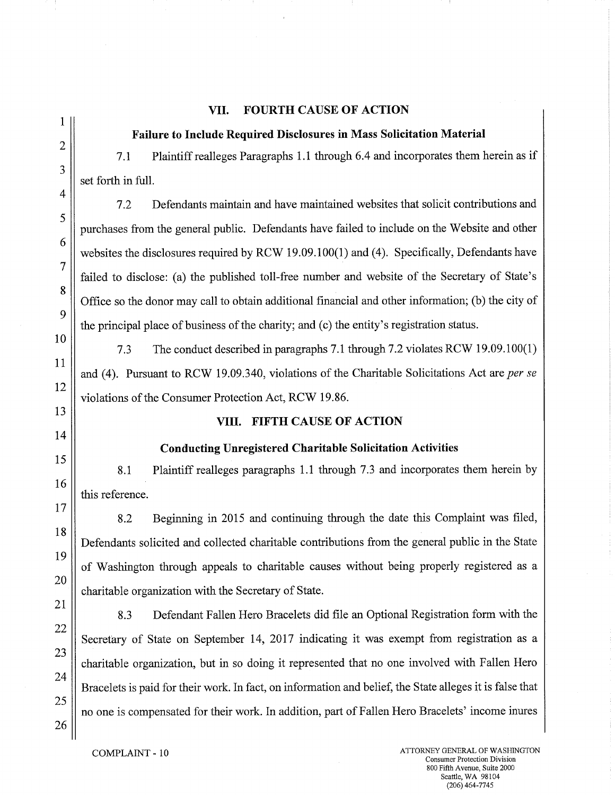# **VII. FOURTH CAUSE OF ACTION**

### **Failure to Include Required Disclosures in Mass Solicitation Material**

7.1 Plaintiff realleges Paragraphs 1.1 through 6.4 and incorporates them herein as if set forth in full.

7.2 Defendants maintain and have maintained websites that solicit contributions and purchases from the general public. Defendants have failed to include on the Website and other websites the disclosures required by RCW 19.09.100(1) and (4). Specifically, Defendants have failed to disclose: (a) the published toll-free number and website of the Secretary of State's Office so the donor may call to obtain additional financial and other information; (b) the city of the principal place of business of the charity; and (c) the entity's registration status.

7.3 The conduct described in paragraphs 7.1 through 7.2 violates RCW 19.09.100(1) and (4). Pursuant to RCW 19.09.340, violations of the Charitable Solicitations Act are *per se*  violations of the Consumer Protection Act, RCW 19.86.

# **VIII. FIFTH CAUSE OF ACTION**

# **Conducting Unregistered Charitable Solicitation Activities**

8.1 Plaintiff realleges paragraphs 1.1 through 7.3 and incorporates them herein by this reference.

8.2 Beginning in 2015 and continuing through the date this Complaint was filed, Defendants solicited and collected charitable contributions from the general public in the State of Washington through appeals to charitable causes without being properly registered as a charitable organization with the Secretary of State.

8.3 Defendant Fallen Hero Bracelets did file an Optional Registration form with the Secretary of State on September 14, 2017 indicating it was exempt from registration as a charitable organization, but in so doing it represented that no one involved with Fallen Hero Bracelets is paid for their work. In fact, on information and belief, the State alleges it is false that no one is compensated for their work. In addition, part of Fallen Hero Bracelets' income inures

1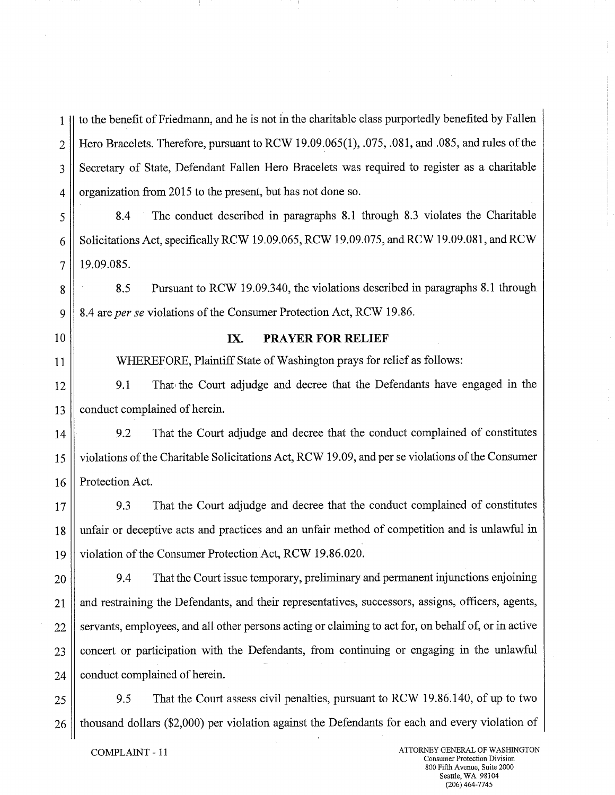1 to the benefit of Friedmann, and he is not in the charitable class purportedly benefited by Fallen 2 | Hero Bracelets. Therefore, pursuant to RCW 19.09.065(1), .075, .081, and .085, and rules of the 3 Secretary of State, Defendant Fallen Hero Bracelets was required to register as a charitable 4 | organization from 2015 to the present, but has not done so.

5 8.4 The conduct described in paragraphs 8.1 through 8.3 violates the Charitable  $6 \parallel$  Solicitations Act, specifically RCW 19.09.065, RCW 19.09.075, and RCW 19.09.081, and RCW  $7 \parallel 19.09.085$ .

8 8.5 Pursuant to RCW 19.09.340, the violations described in paragraphs 8.1 through 9 8.4 *are per se* violations of the Consumer Protection Act, RCW 19.86.

# 10 **IX. PRAYER FOR RELIEF**

11 WHEREFORE, Plaintiff State of Washington prays for relief as follows:

12 9.1 That the Court adjudge and decree that the Defendants have engaged in the 13 | conduct complained of herein.

14 9.2 That the Court adjudge and decree that the conduct complained of constitutes 15 violations of the Charitable Solicitations Act, RCW 19.09, and per se violations of the Consumer 16 | Protection Act.

17 9.3 That the Court adjudge and decree that the conduct complained of constitutes 18 unfair or deceptive acts and practices and an unfair method of competition and is unlawful in 19 violation of the Consumer Protection Act, RCW 19.86.020.

20 9.4 That the Court issue temporary, preliminary and permanent injunctions enjoining 21 and restraining the Defendants, and their representatives, successors, assigns, officers, agents, 22 || servants, employees, and all other persons acting or claiming to act for, on behalf of, or in active  $23$  concert or participation with the Defendants, from continuing or engaging in the unlawful  $24$  | conduct complained of herein.

25 9.5 That the Court assess civil penalties, pursuant to RCW 19.86.140, of up to two 26 | thousand dollars (\$2,000) per violation against the Defendants for each and every violation of